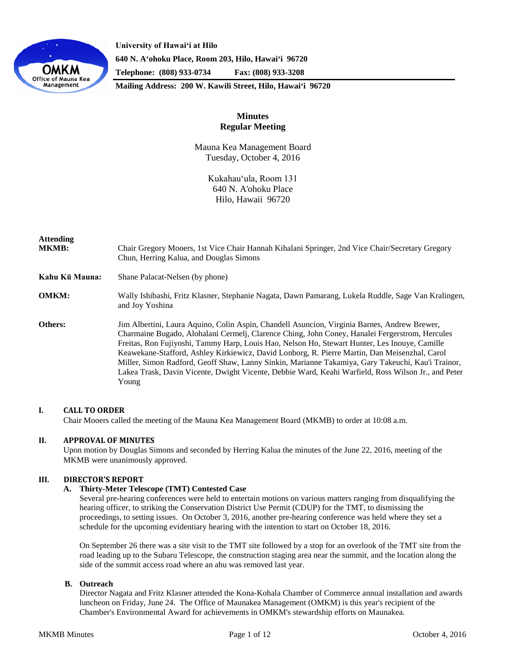

**University of Hawaiʻi at Hilo 640 N. A'ohoku Place, Room 203, Hilo, Hawai'i 96720 Telephone: (808) 933-0734 Fax: (808) 933-3208**

**Mailing Address: 200 W. Kawili Street, Hilo, Hawai'i 96720**

# **Minutes Regular Meeting**

Mauna Kea Management Board Tuesday, October 4, 2016

> Kukahauʻula, Room 131 640 N. A'ohoku Place Hilo, Hawaii 96720

| <b>Attending</b><br><b>MKMB:</b> | Chair Gregory Mooers, 1st Vice Chair Hannah Kihalani Springer, 2nd Vice Chair/Secretary Gregory<br>Chun, Herring Kalua, and Douglas Simons                                                                                                                                                                                                                                                                                                                                                                                                                                                                            |
|----------------------------------|-----------------------------------------------------------------------------------------------------------------------------------------------------------------------------------------------------------------------------------------------------------------------------------------------------------------------------------------------------------------------------------------------------------------------------------------------------------------------------------------------------------------------------------------------------------------------------------------------------------------------|
| Kahu Kū Mauna:                   | Shane Palacat-Nelsen (by phone)                                                                                                                                                                                                                                                                                                                                                                                                                                                                                                                                                                                       |
| <b>OMKM:</b>                     | Wally Ishibashi, Fritz Klasner, Stephanie Nagata, Dawn Pamarang, Lukela Ruddle, Sage Van Kralingen,<br>and Joy Yoshina                                                                                                                                                                                                                                                                                                                                                                                                                                                                                                |
| Others:                          | Jim Albertini, Laura Aquino, Colin Aspin, Chandell Asuncion, Virginia Barnes, Andrew Brewer,<br>Charmaine Bugado, Alohalani Cermelj, Clarence Ching, John Coney, Hanalei Fergerstrom, Hercules<br>Freitas, Ron Fujiyoshi, Tammy Harp, Louis Hao, Nelson Ho, Stewart Hunter, Les Inouye, Camille<br>Keawekane-Stafford, Ashley Kirkiewicz, David Lonborg, R. Pierre Martin, Dan Meisenzhal, Carol<br>Miller, Simon Radford, Geoff Shaw, Lanny Sinkin, Marianne Takamiya, Gary Takeuchi, Kau'i Trainor,<br>Lakea Trask, Davin Vicente, Dwight Vicente, Debbie Ward, Keahi Warfield, Ross Wilson Jr., and Peter<br>Young |

## **I. CALL TO ORDER**

Chair Mooers called the meeting of the Mauna Kea Management Board (MKMB) to order at 10:08 a.m.

## **II. APPROVAL OF MINUTES**

Upon motion by Douglas Simons and seconded by Herring Kalua the minutes of the June 22, 2016, meeting of the MKMB were unanimously approved.

## **III. DIRECTOR'S REPORT**

## **A. Thirty-Meter Telescope (TMT) Contested Case**

Several pre-hearing conferences were held to entertain motions on various matters ranging from disqualifying the hearing officer, to striking the Conservation District Use Permit (CDUP) for the TMT, to dismissing the proceedings, to setting issues. On October 3, 2016, another pre-hearing conference was held where they set a schedule for the upcoming evidentiary hearing with the intention to start on October 18, 2016.

On September 26 there was a site visit to the TMT site followed by a stop for an overlook of the TMT site from the road leading up to the Subaru Telescope, the construction staging area near the summit, and the location along the side of the summit access road where an ahu was removed last year.

### **B. Outreach**

Director Nagata and Fritz Klasner attended the Kona-Kohala Chamber of Commerce annual installation and awards luncheon on Friday, June 24. The Office of Maunakea Management (OMKM) is this year's recipient of the Chamber's Environmental Award for achievements in OMKM's stewardship efforts on Maunakea.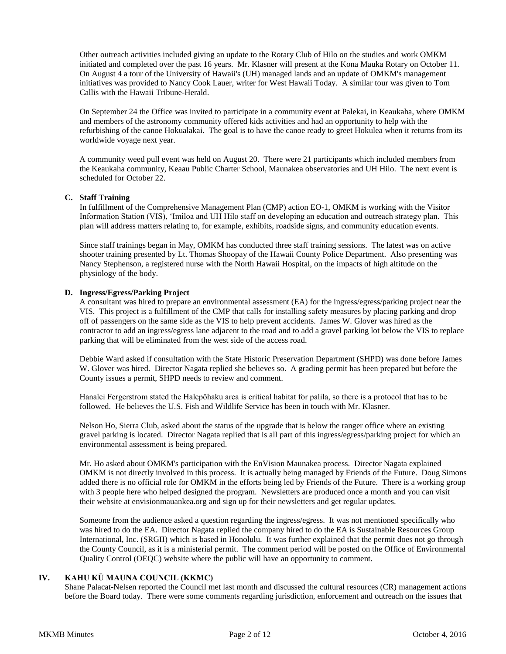Other outreach activities included giving an update to the Rotary Club of Hilo on the studies and work OMKM initiated and completed over the past 16 years. Mr. Klasner will present at the Kona Mauka Rotary on October 11. On August 4 a tour of the University of Hawaii's (UH) managed lands and an update of OMKM's management initiatives was provided to Nancy Cook Lauer, writer for West Hawaii Today. A similar tour was given to Tom Callis with the Hawaii Tribune-Herald.

On September 24 the Office was invited to participate in a community event at Palekai, in Keaukaha, where OMKM and members of the astronomy community offered kids activities and had an opportunity to help with the refurbishing of the canoe Hokualakai. The goal is to have the canoe ready to greet Hokulea when it returns from its worldwide voyage next year.

A community weed pull event was held on August 20. There were 21 participants which included members from the Keaukaha community, Keaau Public Charter School, Maunakea observatories and UH Hilo. The next event is scheduled for October 22.

## **C. Staff Training**

In fulfillment of the Comprehensive Management Plan (CMP) action EO-1, OMKM is working with the Visitor Information Station (VIS), ʻImiloa and UH Hilo staff on developing an education and outreach strategy plan. This plan will address matters relating to, for example, exhibits, roadside signs, and community education events.

Since staff trainings began in May, OMKM has conducted three staff training sessions. The latest was on active shooter training presented by Lt. Thomas Shoopay of the Hawaii County Police Department. Also presenting was Nancy Stephenson, a registered nurse with the North Hawaii Hospital, on the impacts of high altitude on the physiology of the body.

## **D. Ingress/Egress/Parking Project**

A consultant was hired to prepare an environmental assessment (EA) for the ingress/egress/parking project near the VIS. This project is a fulfillment of the CMP that calls for installing safety measures by placing parking and drop off of passengers on the same side as the VIS to help prevent accidents. James W. Glover was hired as the contractor to add an ingress/egress lane adjacent to the road and to add a gravel parking lot below the VIS to replace parking that will be eliminated from the west side of the access road.

Debbie Ward asked if consultation with the State Historic Preservation Department (SHPD) was done before James W. Glover was hired. Director Nagata replied she believes so. A grading permit has been prepared but before the County issues a permit, SHPD needs to review and comment.

Hanalei Fergerstrom stated the Halepōhaku area is critical habitat for palila, so there is a protocol that has to be followed. He believes the U.S. Fish and Wildlife Service has been in touch with Mr. Klasner.

Nelson Ho, Sierra Club, asked about the status of the upgrade that is below the ranger office where an existing gravel parking is located. Director Nagata replied that is all part of this ingress/egress/parking project for which an environmental assessment is being prepared.

Mr. Ho asked about OMKM's participation with the EnVision Maunakea process. Director Nagata explained OMKM is not directly involved in this process. It is actually being managed by Friends of the Future. Doug Simons added there is no official role for OMKM in the efforts being led by Friends of the Future. There is a working group with 3 people here who helped designed the program. Newsletters are produced once a month and you can visit their website at envisionmauankea.org and sign up for their newsletters and get regular updates.

Someone from the audience asked a question regarding the ingress/egress. It was not mentioned specifically who was hired to do the EA. Director Nagata replied the company hired to do the EA is Sustainable Resources Group International, Inc. (SRGII) which is based in Honolulu. It was further explained that the permit does not go through the County Council, as it is a ministerial permit. The comment period will be posted on the Office of Environmental Quality Control (OEQC) website where the public will have an opportunity to comment.

## **IV. KAHU KŪ MAUNA COUNCIL (KKMC)**

Shane Palacat-Nelsen reported the Council met last month and discussed the cultural resources (CR) management actions before the Board today. There were some comments regarding jurisdiction, enforcement and outreach on the issues that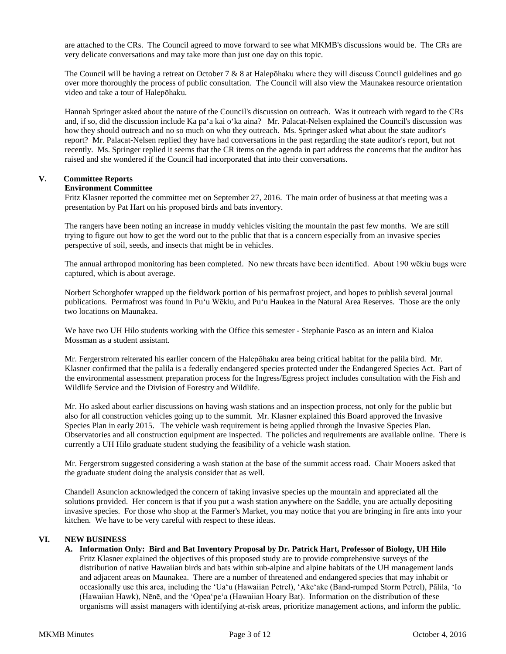are attached to the CRs. The Council agreed to move forward to see what MKMB's discussions would be. The CRs are very delicate conversations and may take more than just one day on this topic.

The Council will be having a retreat on October 7  $& 8$  at Halepōhaku where they will discuss Council guidelines and go over more thoroughly the process of public consultation. The Council will also view the Maunakea resource orientation video and take a tour of Halepōhaku.

Hannah Springer asked about the nature of the Council's discussion on outreach. Was it outreach with regard to the CRs and, if so, did the discussion include Ka paʻa kai o'ka aina? Mr. Palacat-Nelsen explained the Council's discussion was how they should outreach and no so much on who they outreach. Ms. Springer asked what about the state auditor's report? Mr. Palacat-Nelsen replied they have had conversations in the past regarding the state auditor's report, but not recently. Ms. Springer replied it seems that the CR items on the agenda in part address the concerns that the auditor has raised and she wondered if the Council had incorporated that into their conversations.

## **V. Committee Reports**

## **Environment Committee**

Fritz Klasner reported the committee met on September 27, 2016. The main order of business at that meeting was a presentation by Pat Hart on his proposed birds and bats inventory.

The rangers have been noting an increase in muddy vehicles visiting the mountain the past few months. We are still trying to figure out how to get the word out to the public that that is a concern especially from an invasive species perspective of soil, seeds, and insects that might be in vehicles.

The annual arthropod monitoring has been completed. No new threats have been identified. About 190 wēkiu bugs were captured, which is about average.

Norbert Schorghofer wrapped up the fieldwork portion of his permafrost project, and hopes to publish several journal publications. Permafrost was found in Pu'u Wēkiu, and Pu'u Haukea in the Natural Area Reserves. Those are the only two locations on Maunakea.

We have two UH Hilo students working with the Office this semester - Stephanie Pasco as an intern and Kialoa Mossman as a student assistant.

Mr. Fergerstrom reiterated his earlier concern of the Halepōhaku area being critical habitat for the palila bird. Mr. Klasner confirmed that the palila is a federally endangered species protected under the Endangered Species Act. Part of the environmental assessment preparation process for the Ingress/Egress project includes consultation with the Fish and Wildlife Service and the Division of Forestry and Wildlife.

Mr. Ho asked about earlier discussions on having wash stations and an inspection process, not only for the public but also for all construction vehicles going up to the summit. Mr. Klasner explained this Board approved the Invasive Species Plan in early 2015. The vehicle wash requirement is being applied through the Invasive Species Plan. Observatories and all construction equipment are inspected. The policies and requirements are available online. There is currently a UH Hilo graduate student studying the feasibility of a vehicle wash station.

Mr. Fergerstrom suggested considering a wash station at the base of the summit access road. Chair Mooers asked that the graduate student doing the analysis consider that as well.

Chandell Asuncion acknowledged the concern of taking invasive species up the mountain and appreciated all the solutions provided. Her concern is that if you put a wash station anywhere on the Saddle, you are actually depositing invasive species. For those who shop at the Farmer's Market, you may notice that you are bringing in fire ants into your kitchen. We have to be very careful with respect to these ideas.

## **VI. NEW BUSINESS**

**A. Information Only: Bird and Bat Inventory Proposal by Dr. Patrick Hart, Professor of Biology, UH Hilo** Fritz Klasner explained the objectives of this proposed study are to provide comprehensive surveys of the distribution of native Hawaiian birds and bats within sub-alpine and alpine habitats of the UH management lands and adjacent areas on Maunakea. There are a number of threatened and endangered species that may inhabit or occasionally use this area, including the ʻUaʻu (Hawaiian Petrel), ʻAkeʻake (Band-rumped Storm Petrel), Pālila, ʻIo (Hawaiian Hawk), Nēnē, and the ʻOpeaʻpeʻa (Hawaiian Hoary Bat). Information on the distribution of these organisms will assist managers with identifying at-risk areas, prioritize management actions, and inform the public.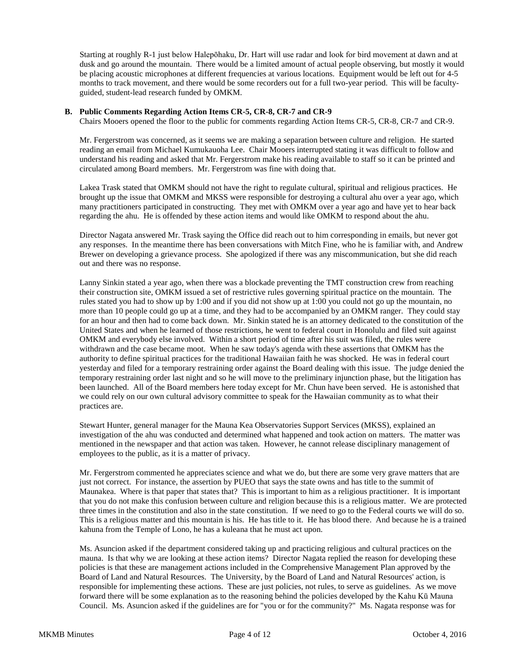Starting at roughly R-1 just below Halepōhaku, Dr. Hart will use radar and look for bird movement at dawn and at dusk and go around the mountain. There would be a limited amount of actual people observing, but mostly it would be placing acoustic microphones at different frequencies at various locations. Equipment would be left out for 4-5 months to track movement, and there would be some recorders out for a full two-year period. This will be facultyguided, student-lead research funded by OMKM.

### **B. Public Comments Regarding Action Items CR-5, CR-8, CR-7 and CR-9**

Chairs Mooers opened the floor to the public for comments regarding Action Items CR-5, CR-8, CR-7 and CR-9.

Mr. Fergerstrom was concerned, as it seems we are making a separation between culture and religion. He started reading an email from Michael Kumukauoha Lee. Chair Mooers interrupted stating it was difficult to follow and understand his reading and asked that Mr. Fergerstrom make his reading available to staff so it can be printed and circulated among Board members. Mr. Fergerstrom was fine with doing that.

Lakea Trask stated that OMKM should not have the right to regulate cultural, spiritual and religious practices. He brought up the issue that OMKM and MKSS were responsible for destroying a cultural ahu over a year ago, which many practitioners participated in constructing. They met with OMKM over a year ago and have yet to hear back regarding the ahu. He is offended by these action items and would like OMKM to respond about the ahu.

Director Nagata answered Mr. Trask saying the Office did reach out to him corresponding in emails, but never got any responses. In the meantime there has been conversations with Mitch Fine, who he is familiar with, and Andrew Brewer on developing a grievance process. She apologized if there was any miscommunication, but she did reach out and there was no response.

Lanny Sinkin stated a year ago, when there was a blockade preventing the TMT construction crew from reaching their construction site, OMKM issued a set of restrictive rules governing spiritual practice on the mountain. The rules stated you had to show up by 1:00 and if you did not show up at 1:00 you could not go up the mountain, no more than 10 people could go up at a time, and they had to be accompanied by an OMKM ranger. They could stay for an hour and then had to come back down. Mr. Sinkin stated he is an attorney dedicated to the constitution of the United States and when he learned of those restrictions, he went to federal court in Honolulu and filed suit against OMKM and everybody else involved. Within a short period of time after his suit was filed, the rules were withdrawn and the case became moot. When he saw today's agenda with these assertions that OMKM has the authority to define spiritual practices for the traditional Hawaiian faith he was shocked. He was in federal court yesterday and filed for a temporary restraining order against the Board dealing with this issue. The judge denied the temporary restraining order last night and so he will move to the preliminary injunction phase, but the litigation has been launched. All of the Board members here today except for Mr. Chun have been served. He is astonished that we could rely on our own cultural advisory committee to speak for the Hawaiian community as to what their practices are.

Stewart Hunter, general manager for the Mauna Kea Observatories Support Services (MKSS), explained an investigation of the ahu was conducted and determined what happened and took action on matters. The matter was mentioned in the newspaper and that action was taken. However, he cannot release disciplinary management of employees to the public, as it is a matter of privacy.

Mr. Fergerstrom commented he appreciates science and what we do, but there are some very grave matters that are just not correct. For instance, the assertion by PUEO that says the state owns and has title to the summit of Maunakea. Where is that paper that states that? This is important to him as a religious practitioner. It is important that you do not make this confusion between culture and religion because this is a religious matter. We are protected three times in the constitution and also in the state constitution. If we need to go to the Federal courts we will do so. This is a religious matter and this mountain is his. He has title to it. He has blood there. And because he is a trained kahuna from the Temple of Lono, he has a kuleana that he must act upon.

Ms. Asuncion asked if the department considered taking up and practicing religious and cultural practices on the mauna. Is that why we are looking at these action items? Director Nagata replied the reason for developing these policies is that these are management actions included in the Comprehensive Management Plan approved by the Board of Land and Natural Resources. The University, by the Board of Land and Natural Resources' action, is responsible for implementing these actions. These are just policies, not rules, to serve as guidelines. As we move forward there will be some explanation as to the reasoning behind the policies developed by the Kahu Kū Mauna Council. Ms. Asuncion asked if the guidelines are for "you or for the community?" Ms. Nagata response was for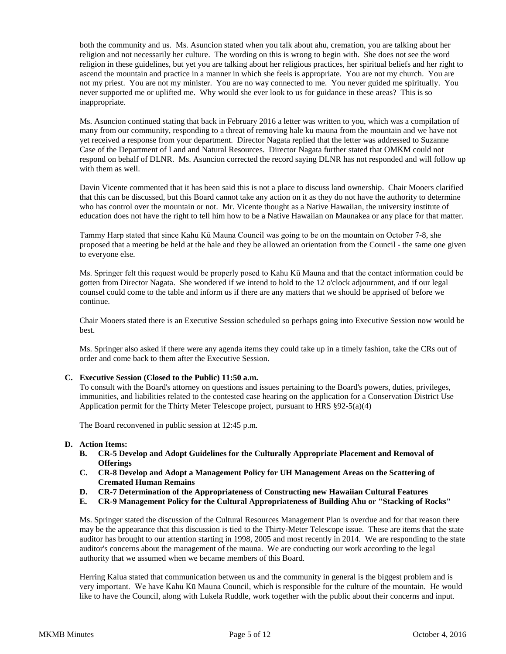both the community and us. Ms. Asuncion stated when you talk about ahu, cremation, you are talking about her religion and not necessarily her culture. The wording on this is wrong to begin with. She does not see the word religion in these guidelines, but yet you are talking about her religious practices, her spiritual beliefs and her right to ascend the mountain and practice in a manner in which she feels is appropriate. You are not my church. You are not my priest. You are not my minister. You are no way connected to me. You never guided me spiritually. You never supported me or uplifted me. Why would she ever look to us for guidance in these areas? This is so inappropriate.

Ms. Asuncion continued stating that back in February 2016 a letter was written to you, which was a compilation of many from our community, responding to a threat of removing hale ku mauna from the mountain and we have not yet received a response from your department. Director Nagata replied that the letter was addressed to Suzanne Case of the Department of Land and Natural Resources. Director Nagata further stated that OMKM could not respond on behalf of DLNR. Ms. Asuncion corrected the record saying DLNR has not responded and will follow up with them as well.

Davin Vicente commented that it has been said this is not a place to discuss land ownership. Chair Mooers clarified that this can be discussed, but this Board cannot take any action on it as they do not have the authority to determine who has control over the mountain or not. Mr. Vicente thought as a Native Hawaiian, the university institute of education does not have the right to tell him how to be a Native Hawaiian on Maunakea or any place for that matter.

Tammy Harp stated that since Kahu Kū Mauna Council was going to be on the mountain on October 7-8, she proposed that a meeting be held at the hale and they be allowed an orientation from the Council - the same one given to everyone else.

Ms. Springer felt this request would be properly posed to Kahu Kū Mauna and that the contact information could be gotten from Director Nagata. She wondered if we intend to hold to the 12 o'clock adjournment, and if our legal counsel could come to the table and inform us if there are any matters that we should be apprised of before we continue.

Chair Mooers stated there is an Executive Session scheduled so perhaps going into Executive Session now would be best.

Ms. Springer also asked if there were any agenda items they could take up in a timely fashion, take the CRs out of order and come back to them after the Executive Session.

### **C. Executive Session (Closed to the Public) 11:50 a.m.**

To consult with the Board's attorney on questions and issues pertaining to the Board's powers, duties, privileges, immunities, and liabilities related to the contested case hearing on the application for a Conservation District Use Application permit for the Thirty Meter Telescope project, pursuant to HRS §92-5(a)(4)

The Board reconvened in public session at 12:45 p.m.

### **D. Action Items:**

- **B. CR-5 Develop and Adopt Guidelines for the Culturally Appropriate Placement and Removal of Offerings**
- **C. CR-8 Develop and Adopt a Management Policy for UH Management Areas on the Scattering of Cremated Human Remains**
- **D. CR-7 Determination of the Appropriateness of Constructing new Hawaiian Cultural Features**
- **E. CR-9 Management Policy for the Cultural Appropriateness of Building Ahu or "Stacking of Rocks"**

Ms. Springer stated the discussion of the Cultural Resources Management Plan is overdue and for that reason there may be the appearance that this discussion is tied to the Thirty-Meter Telescope issue. These are items that the state auditor has brought to our attention starting in 1998, 2005 and most recently in 2014. We are responding to the state auditor's concerns about the management of the mauna. We are conducting our work according to the legal authority that we assumed when we became members of this Board.

Herring Kalua stated that communication between us and the community in general is the biggest problem and is very important. We have Kahu Kū Mauna Council, which is responsible for the culture of the mountain. He would like to have the Council, along with Lukela Ruddle, work together with the public about their concerns and input.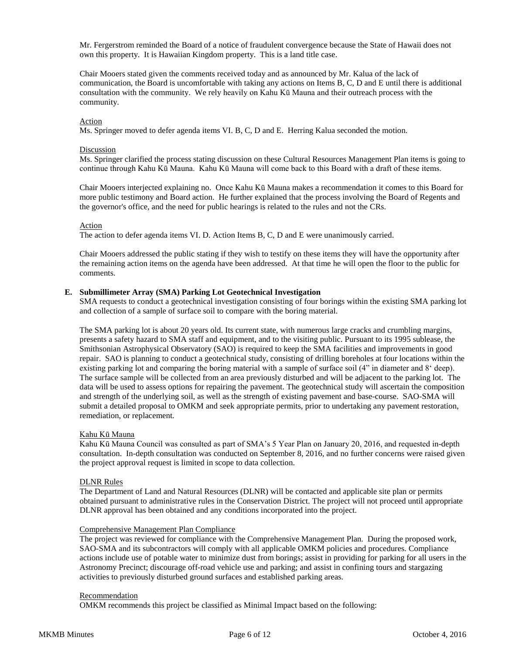Mr. Fergerstrom reminded the Board of a notice of fraudulent convergence because the State of Hawaii does not own this property. It is Hawaiian Kingdom property. This is a land title case.

Chair Mooers stated given the comments received today and as announced by Mr. Kalua of the lack of communication, the Board is uncomfortable with taking any actions on Items B, C, D and E until there is additional consultation with the community. We rely heavily on Kahu Kū Mauna and their outreach process with the community.

## Action

Ms. Springer moved to defer agenda items VI. B, C, D and E. Herring Kalua seconded the motion.

#### Discussion

Ms. Springer clarified the process stating discussion on these Cultural Resources Management Plan items is going to continue through Kahu Kū Mauna. Kahu Kū Mauna will come back to this Board with a draft of these items.

Chair Mooers interjected explaining no. Once Kahu Kū Mauna makes a recommendation it comes to this Board for more public testimony and Board action. He further explained that the process involving the Board of Regents and the governor's office, and the need for public hearings is related to the rules and not the CRs.

#### Action

The action to defer agenda items VI. D. Action Items B, C, D and E were unanimously carried.

Chair Mooers addressed the public stating if they wish to testify on these items they will have the opportunity after the remaining action items on the agenda have been addressed. At that time he will open the floor to the public for comments.

### **E. Submillimeter Array (SMA) Parking Lot Geotechnical Investigation**

SMA requests to conduct a geotechnical investigation consisting of four borings within the existing SMA parking lot and collection of a sample of surface soil to compare with the boring material.

The SMA parking lot is about 20 years old. Its current state, with numerous large cracks and crumbling margins, presents a safety hazard to SMA staff and equipment, and to the visiting public. Pursuant to its 1995 sublease, the Smithsonian Astrophysical Observatory (SAO) is required to keep the SMA facilities and improvements in good repair. SAO is planning to conduct a geotechnical study, consisting of drilling boreholes at four locations within the existing parking lot and comparing the boring material with a sample of surface soil (4" in diameter and 8ʻ deep). The surface sample will be collected from an area previously disturbed and will be adjacent to the parking lot. The data will be used to assess options for repairing the pavement. The geotechnical study will ascertain the composition and strength of the underlying soil, as well as the strength of existing pavement and base-course. SAO-SMA will submit a detailed proposal to OMKM and seek appropriate permits, prior to undertaking any pavement restoration, remediation, or replacement.

### Kahu Kū Mauna

Kahu Kū Mauna Council was consulted as part of SMA's 5 Year Plan on January 20, 2016, and requested in-depth consultation. In-depth consultation was conducted on September 8, 2016, and no further concerns were raised given the project approval request is limited in scope to data collection.

### DLNR Rules

The Department of Land and Natural Resources (DLNR) will be contacted and applicable site plan or permits obtained pursuant to administrative rules in the Conservation District. The project will not proceed until appropriate DLNR approval has been obtained and any conditions incorporated into the project.

### Comprehensive Management Plan Compliance

The project was reviewed for compliance with the Comprehensive Management Plan. During the proposed work, SAO-SMA and its subcontractors will comply with all applicable OMKM policies and procedures. Compliance actions include use of potable water to minimize dust from borings; assist in providing for parking for all users in the Astronomy Precinct; discourage off-road vehicle use and parking; and assist in confining tours and stargazing activities to previously disturbed ground surfaces and established parking areas.

#### Recommendation

OMKM recommends this project be classified as Minimal Impact based on the following: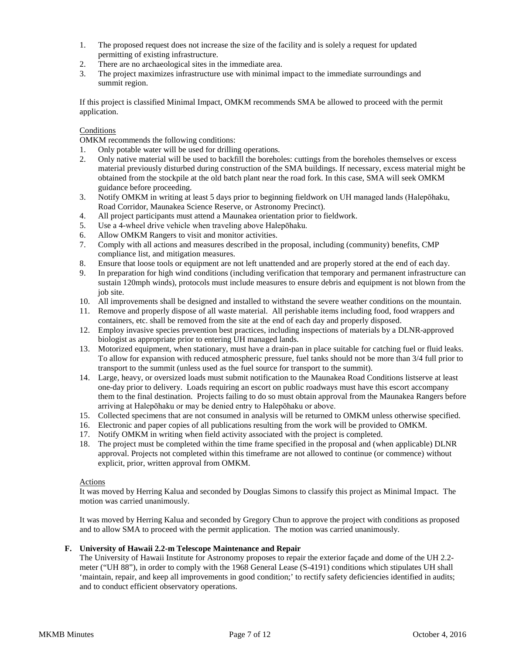- 1. The proposed request does not increase the size of the facility and is solely a request for updated permitting of existing infrastructure.
- 2. There are no archaeological sites in the immediate area.<br>3. The project maximizes infrastructure use with minimal i
- 3. The project maximizes infrastructure use with minimal impact to the immediate surroundings and summit region.

If this project is classified Minimal Impact, OMKM recommends SMA be allowed to proceed with the permit application.

## **Conditions**

OMKM recommends the following conditions:

- 1. Only potable water will be used for drilling operations.
- 2. Only native material will be used to backfill the boreholes: cuttings from the boreholes themselves or excess material previously disturbed during construction of the SMA buildings. If necessary, excess material might be obtained from the stockpile at the old batch plant near the road fork. In this case, SMA will seek OMKM guidance before proceeding.
- 3. Notify OMKM in writing at least 5 days prior to beginning fieldwork on UH managed lands (Halepōhaku, Road Corridor, Maunakea Science Reserve, or Astronomy Precinct).
- 4. All project participants must attend a Maunakea orientation prior to fieldwork.
- 5. Use a 4-wheel drive vehicle when traveling above Halepōhaku.
- 6. Allow OMKM Rangers to visit and monitor activities.
- 7. Comply with all actions and measures described in the proposal, including (community) benefits, CMP compliance list, and mitigation measures.
- 8. Ensure that loose tools or equipment are not left unattended and are properly stored at the end of each day.
- 9. In preparation for high wind conditions (including verification that temporary and permanent infrastructure can sustain 120mph winds), protocols must include measures to ensure debris and equipment is not blown from the job site.
- 10. All improvements shall be designed and installed to withstand the severe weather conditions on the mountain.
- 11. Remove and properly dispose of all waste material. All perishable items including food, food wrappers and containers, etc. shall be removed from the site at the end of each day and properly disposed.
- 12. Employ invasive species prevention best practices, including inspections of materials by a DLNR-approved biologist as appropriate prior to entering UH managed lands.
- 13. Motorized equipment, when stationary, must have a drain-pan in place suitable for catching fuel or fluid leaks. To allow for expansion with reduced atmospheric pressure, fuel tanks should not be more than 3/4 full prior to transport to the summit (unless used as the fuel source for transport to the summit).
- 14. Large, heavy, or oversized loads must submit notification to the Maunakea Road Conditions listserve at least one-day prior to delivery. Loads requiring an escort on public roadways must have this escort accompany them to the final destination. Projects failing to do so must obtain approval from the Maunakea Rangers before arriving at Halepōhaku or may be denied entry to Halepōhaku or above.
- 15. Collected specimens that are not consumed in analysis will be returned to OMKM unless otherwise specified.
- 16. Electronic and paper copies of all publications resulting from the work will be provided to OMKM.
- 17. Notify OMKM in writing when field activity associated with the project is completed.
- 18. The project must be completed within the time frame specified in the proposal and (when applicable) DLNR approval. Projects not completed within this timeframe are not allowed to continue (or commence) without explicit, prior, written approval from OMKM.

### Actions

It was moved by Herring Kalua and seconded by Douglas Simons to classify this project as Minimal Impact. The motion was carried unanimously.

It was moved by Herring Kalua and seconded by Gregory Chun to approve the project with conditions as proposed and to allow SMA to proceed with the permit application. The motion was carried unanimously.

## **F. University of Hawaii 2.2-m Telescope Maintenance and Repair**

The University of Hawaii Institute for Astronomy proposes to repair the exterior façade and dome of the UH 2.2 meter ("UH 88"), in order to comply with the 1968 General Lease (S-4191) conditions which stipulates UH shall 'maintain, repair, and keep all improvements in good condition;' to rectify safety deficiencies identified in audits; and to conduct efficient observatory operations.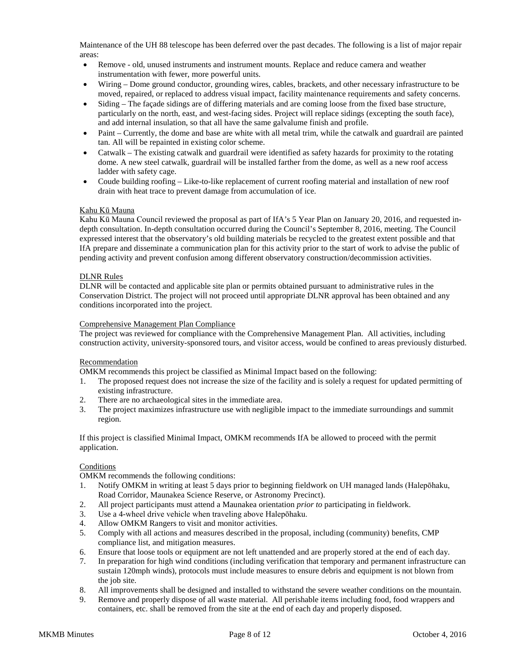Maintenance of the UH 88 telescope has been deferred over the past decades. The following is a list of major repair areas:

- Remove old, unused instruments and instrument mounts. Replace and reduce camera and weather instrumentation with fewer, more powerful units.
- Wiring Dome ground conductor, grounding wires, cables, brackets, and other necessary infrastructure to be moved, repaired, or replaced to address visual impact, facility maintenance requirements and safety concerns.
- Siding The façade sidings are of differing materials and are coming loose from the fixed base structure, particularly on the north, east, and west-facing sides. Project will replace sidings (excepting the south face), and add internal insulation, so that all have the same galvalume finish and profile.
- Paint Currently, the dome and base are white with all metal trim, while the catwalk and guardrail are painted tan. All will be repainted in existing color scheme.
- Catwalk The existing catwalk and guardrail were identified as safety hazards for proximity to the rotating dome. A new steel catwalk, guardrail will be installed farther from the dome, as well as a new roof access ladder with safety cage.
- Coude building roofing Like-to-like replacement of current roofing material and installation of new roof drain with heat trace to prevent damage from accumulation of ice.

## Kahu Kū Mauna

Kahu Kū Mauna Council reviewed the proposal as part of IfA's 5 Year Plan on January 20, 2016, and requested indepth consultation. In-depth consultation occurred during the Council's September 8, 2016, meeting. The Council expressed interest that the observatory's old building materials be recycled to the greatest extent possible and that IfA prepare and disseminate a communication plan for this activity prior to the start of work to advise the public of pending activity and prevent confusion among different observatory construction/decommission activities.

## DLNR Rules

DLNR will be contacted and applicable site plan or permits obtained pursuant to administrative rules in the Conservation District. The project will not proceed until appropriate DLNR approval has been obtained and any conditions incorporated into the project.

### Comprehensive Management Plan Compliance

The project was reviewed for compliance with the Comprehensive Management Plan. All activities, including construction activity, university-sponsored tours, and visitor access, would be confined to areas previously disturbed.

### Recommendation

OMKM recommends this project be classified as Minimal Impact based on the following:

- 1. The proposed request does not increase the size of the facility and is solely a request for updated permitting of existing infrastructure.
- 2. There are no archaeological sites in the immediate area.
- 3. The project maximizes infrastructure use with negligible impact to the immediate surroundings and summit region.

If this project is classified Minimal Impact, OMKM recommends IfA be allowed to proceed with the permit application.

### Conditions

OMKM recommends the following conditions:

- 1. Notify OMKM in writing at least 5 days prior to beginning fieldwork on UH managed lands (Halepōhaku, Road Corridor, Maunakea Science Reserve, or Astronomy Precinct).
- 2. All project participants must attend a Maunakea orientation *prior to* participating in fieldwork.
- 3. Use a 4-wheel drive vehicle when traveling above Halepōhaku.
- 4. Allow OMKM Rangers to visit and monitor activities.
- 5. Comply with all actions and measures described in the proposal, including (community) benefits, CMP compliance list, and mitigation measures.
- 6. Ensure that loose tools or equipment are not left unattended and are properly stored at the end of each day.
- 7. In preparation for high wind conditions (including verification that temporary and permanent infrastructure can sustain 120mph winds), protocols must include measures to ensure debris and equipment is not blown from the job site.
- 8. All improvements shall be designed and installed to withstand the severe weather conditions on the mountain.
- 9. Remove and properly dispose of all waste material. All perishable items including food, food wrappers and containers, etc. shall be removed from the site at the end of each day and properly disposed.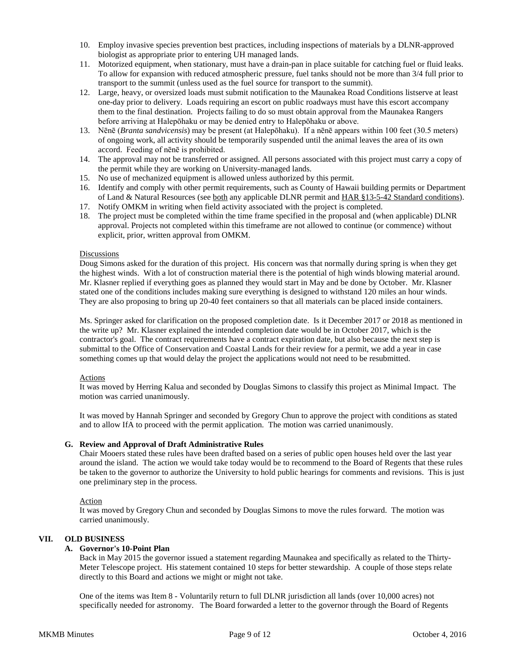- 10. Employ invasive species prevention best practices, including inspections of materials by a DLNR-approved biologist as appropriate prior to entering UH managed lands.
- 11. Motorized equipment, when stationary, must have a drain-pan in place suitable for catching fuel or fluid leaks. To allow for expansion with reduced atmospheric pressure, fuel tanks should not be more than 3/4 full prior to transport to the summit (unless used as the fuel source for transport to the summit).
- 12. Large, heavy, or oversized loads must submit notification to the Maunakea Road Conditions listserve at least one-day prior to delivery. Loads requiring an escort on public roadways must have this escort accompany them to the final destination. Projects failing to do so must obtain approval from the Maunakea Rangers before arriving at Halepōhaku or may be denied entry to Halepōhaku or above.
- 13. Nēnē (*Branta sandvicensis*) may be present (at Halepōhaku). If a nēnē appears within 100 feet (30.5 meters) of ongoing work, all activity should be temporarily suspended until the animal leaves the area of its own accord. Feeding of nēnē is prohibited.
- 14. The approval may not be transferred or assigned. All persons associated with this project must carry a copy of the permit while they are working on University-managed lands.
- 15. No use of mechanized equipment is allowed unless authorized by this permit.
- 16. Identify and comply with other permit requirements, such as County of Hawaii building permits or Department of Land & Natural Resources (see both any applicable DLNR permit and HAR [§13-5-42 Standard conditions\)](http://dlnr.hawaii.gov/occl/files/2013/08/13-5-2013.pdf#page=47).
- 17. Notify OMKM in writing when field activity associated with the project is completed.
- 18. The project must be completed within the time frame specified in the proposal and (when applicable) DLNR approval. Projects not completed within this timeframe are not allowed to continue (or commence) without explicit, prior, written approval from OMKM.

## Discussions

Doug Simons asked for the duration of this project. His concern was that normally during spring is when they get the highest winds. With a lot of construction material there is the potential of high winds blowing material around. Mr. Klasner replied if everything goes as planned they would start in May and be done by October. Mr. Klasner stated one of the conditions includes making sure everything is designed to withstand 120 miles an hour winds. They are also proposing to bring up 20-40 feet containers so that all materials can be placed inside containers.

Ms. Springer asked for clarification on the proposed completion date. Is it December 2017 or 2018 as mentioned in the write up? Mr. Klasner explained the intended completion date would be in October 2017, which is the contractor's goal. The contract requirements have a contract expiration date, but also because the next step is submittal to the Office of Conservation and Coastal Lands for their review for a permit, we add a year in case something comes up that would delay the project the applications would not need to be resubmitted.

### **Actions**

It was moved by Herring Kalua and seconded by Douglas Simons to classify this project as Minimal Impact. The motion was carried unanimously.

It was moved by Hannah Springer and seconded by Gregory Chun to approve the project with conditions as stated and to allow IfA to proceed with the permit application. The motion was carried unanimously.

## **G. Review and Approval of Draft Administrative Rules**

Chair Mooers stated these rules have been drafted based on a series of public open houses held over the last year around the island. The action we would take today would be to recommend to the Board of Regents that these rules be taken to the governor to authorize the University to hold public hearings for comments and revisions. This is just one preliminary step in the process.

### Action

It was moved by Gregory Chun and seconded by Douglas Simons to move the rules forward. The motion was carried unanimously.

## **VII. OLD BUSINESS**

### **A. Governor's 10-Point Plan**

Back in May 2015 the governor issued a statement regarding Maunakea and specifically as related to the Thirty-Meter Telescope project. His statement contained 10 steps for better stewardship. A couple of those steps relate directly to this Board and actions we might or might not take.

One of the items was Item 8 - Voluntarily return to full DLNR jurisdiction all lands (over 10,000 acres) not specifically needed for astronomy. The Board forwarded a letter to the governor through the Board of Regents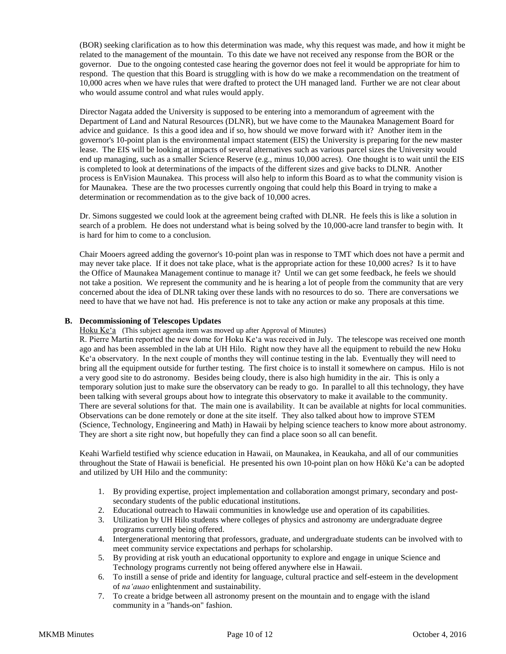(BOR) seeking clarification as to how this determination was made, why this request was made, and how it might be related to the management of the mountain. To this date we have not received any response from the BOR or the governor. Due to the ongoing contested case hearing the governor does not feel it would be appropriate for him to respond. The question that this Board is struggling with is how do we make a recommendation on the treatment of 10,000 acres when we have rules that were drafted to protect the UH managed land. Further we are not clear about who would assume control and what rules would apply.

Director Nagata added the University is supposed to be entering into a memorandum of agreement with the Department of Land and Natural Resources (DLNR), but we have come to the Maunakea Management Board for advice and guidance. Is this a good idea and if so, how should we move forward with it? Another item in the governor's 10-point plan is the environmental impact statement (EIS) the University is preparing for the new master lease. The EIS will be looking at impacts of several alternatives such as various parcel sizes the University would end up managing, such as a smaller Science Reserve (e.g., minus 10,000 acres). One thought is to wait until the EIS is completed to look at determinations of the impacts of the different sizes and give backs to DLNR. Another process is EnVision Maunakea. This process will also help to inform this Board as to what the community vision is for Maunakea. These are the two processes currently ongoing that could help this Board in trying to make a determination or recommendation as to the give back of 10,000 acres.

Dr. Simons suggested we could look at the agreement being crafted with DLNR. He feels this is like a solution in search of a problem. He does not understand what is being solved by the 10,000-acre land transfer to begin with. It is hard for him to come to a conclusion.

Chair Mooers agreed adding the governor's 10-point plan was in response to TMT which does not have a permit and may never take place. If it does not take place, what is the appropriate action for these 10,000 acres? Is it to have the Office of Maunakea Management continue to manage it? Until we can get some feedback, he feels we should not take a position. We represent the community and he is hearing a lot of people from the community that are very concerned about the idea of DLNR taking over these lands with no resources to do so. There are conversations we need to have that we have not had. His preference is not to take any action or make any proposals at this time.

## **B. Decommissioning of Telescopes Updates**

Hoku Ke'a (This subject agenda item was moved up after Approval of Minutes)

R. Pierre Martin reported the new dome for Hoku Keʻa was received in July. The telescope was received one month ago and has been assembled in the lab at UH Hilo. Right now they have all the equipment to rebuild the new Hoku Keʻa observatory. In the next couple of months they will continue testing in the lab. Eventually they will need to bring all the equipment outside for further testing. The first choice is to install it somewhere on campus. Hilo is not a very good site to do astronomy. Besides being cloudy, there is also high humidity in the air. This is only a temporary solution just to make sure the observatory can be ready to go. In parallel to all this technology, they have been talking with several groups about how to integrate this observatory to make it available to the community. There are several solutions for that. The main one is availability. It can be available at nights for local communities. Observations can be done remotely or done at the site itself. They also talked about how to improve STEM (Science, Technology, Engineering and Math) in Hawaii by helping science teachers to know more about astronomy. They are short a site right now, but hopefully they can find a place soon so all can benefit.

Keahi Warfield testified why science education in Hawaii, on Maunakea, in Keaukaha, and all of our communities throughout the State of Hawaii is beneficial. He presented his own 10-point plan on how Hōkū Keʻa can be adopted and utilized by UH Hilo and the community:

- 1. By providing expertise, project implementation and collaboration amongst primary, secondary and postsecondary students of the public educational institutions.
- 2. Educational outreach to Hawaii communities in knowledge use and operation of its capabilities.
- 3. Utilization by UH Hilo students where colleges of physics and astronomy are undergraduate degree programs currently being offered.
- 4. Intergenerational mentoring that professors, graduate, and undergraduate students can be involved with to meet community service expectations and perhaps for scholarship.
- 5. By providing at risk youth an educational opportunity to explore and engage in unique Science and Technology programs currently not being offered anywhere else in Hawaii.
- 6. To instill a sense of pride and identity for language, cultural practice and self-esteem in the development of *naʻauao* enlightenment and sustainability.
- 7. To create a bridge between all astronomy present on the mountain and to engage with the island community in a "hands-on" fashion.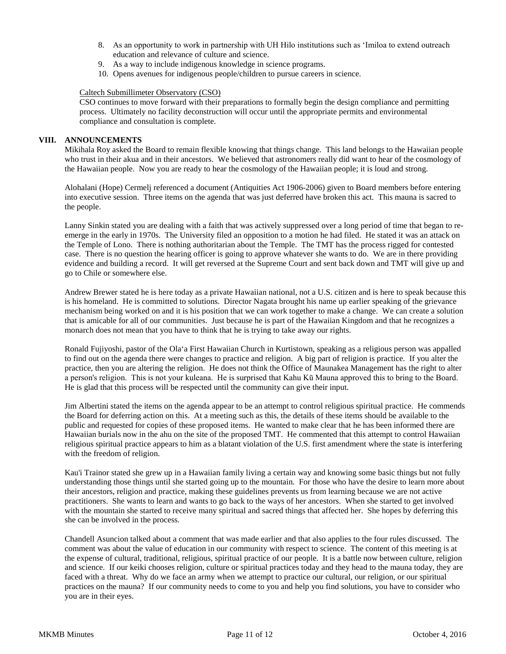- 8. As an opportunity to work in partnership with UH Hilo institutions such as ʻImiloa to extend outreach education and relevance of culture and science.
- 9. As a way to include indigenous knowledge in science programs.
- 10. Opens avenues for indigenous people/children to pursue careers in science.

## Caltech Submillimeter Observatory (CSO)

CSO continues to move forward with their preparations to formally begin the design compliance and permitting process. Ultimately no facility deconstruction will occur until the appropriate permits and environmental compliance and consultation is complete.

## **VIII. ANNOUNCEMENTS**

Mikihala Roy asked the Board to remain flexible knowing that things change. This land belongs to the Hawaiian people who trust in their akua and in their ancestors. We believed that astronomers really did want to hear of the cosmology of the Hawaiian people. Now you are ready to hear the cosmology of the Hawaiian people; it is loud and strong.

Alohalani (Hope) Cermelj referenced a document (Antiquities Act 1906-2006) given to Board members before entering into executive session. Three items on the agenda that was just deferred have broken this act. This mauna is sacred to the people.

Lanny Sinkin stated you are dealing with a faith that was actively suppressed over a long period of time that began to reemerge in the early in 1970s. The University filed an opposition to a motion he had filed. He stated it was an attack on the Temple of Lono. There is nothing authoritarian about the Temple. The TMT has the process rigged for contested case. There is no question the hearing officer is going to approve whatever she wants to do. We are in there providing evidence and building a record. It will get reversed at the Supreme Court and sent back down and TMT will give up and go to Chile or somewhere else.

Andrew Brewer stated he is here today as a private Hawaiian national, not a U.S. citizen and is here to speak because this is his homeland. He is committed to solutions. Director Nagata brought his name up earlier speaking of the grievance mechanism being worked on and it is his position that we can work together to make a change. We can create a solution that is amicable for all of our communities. Just because he is part of the Hawaiian Kingdom and that he recognizes a monarch does not mean that you have to think that he is trying to take away our rights.

Ronald Fujiyoshi, pastor of the Ola'a First Hawaiian Church in Kurtistown, speaking as a religious person was appalled to find out on the agenda there were changes to practice and religion. A big part of religion is practice. If you alter the practice, then you are altering the religion. He does not think the Office of Maunakea Management has the right to alter a person's religion. This is not your kuleana. He is surprised that Kahu Kū Mauna approved this to bring to the Board. He is glad that this process will be respected until the community can give their input.

Jim Albertini stated the items on the agenda appear to be an attempt to control religious spiritual practice. He commends the Board for deferring action on this. At a meeting such as this, the details of these items should be available to the public and requested for copies of these proposed items. He wanted to make clear that he has been informed there are Hawaiian burials now in the ahu on the site of the proposed TMT. He commented that this attempt to control Hawaiian religious spiritual practice appears to him as a blatant violation of the U.S. first amendment where the state is interfering with the freedom of religion.

Kau'i Trainor stated she grew up in a Hawaiian family living a certain way and knowing some basic things but not fully understanding those things until she started going up to the mountain. For those who have the desire to learn more about their ancestors, religion and practice, making these guidelines prevents us from learning because we are not active practitioners. She wants to learn and wants to go back to the ways of her ancestors. When she started to get involved with the mountain she started to receive many spiritual and sacred things that affected her. She hopes by deferring this she can be involved in the process.

Chandell Asuncion talked about a comment that was made earlier and that also applies to the four rules discussed. The comment was about the value of education in our community with respect to science. The content of this meeting is at the expense of cultural, traditional, religious, spiritual practice of our people. It is a battle now between culture, religion and science. If our keiki chooses religion, culture or spiritual practices today and they head to the mauna today, they are faced with a threat. Why do we face an army when we attempt to practice our cultural, our religion, or our spiritual practices on the mauna? If our community needs to come to you and help you find solutions, you have to consider who you are in their eyes.